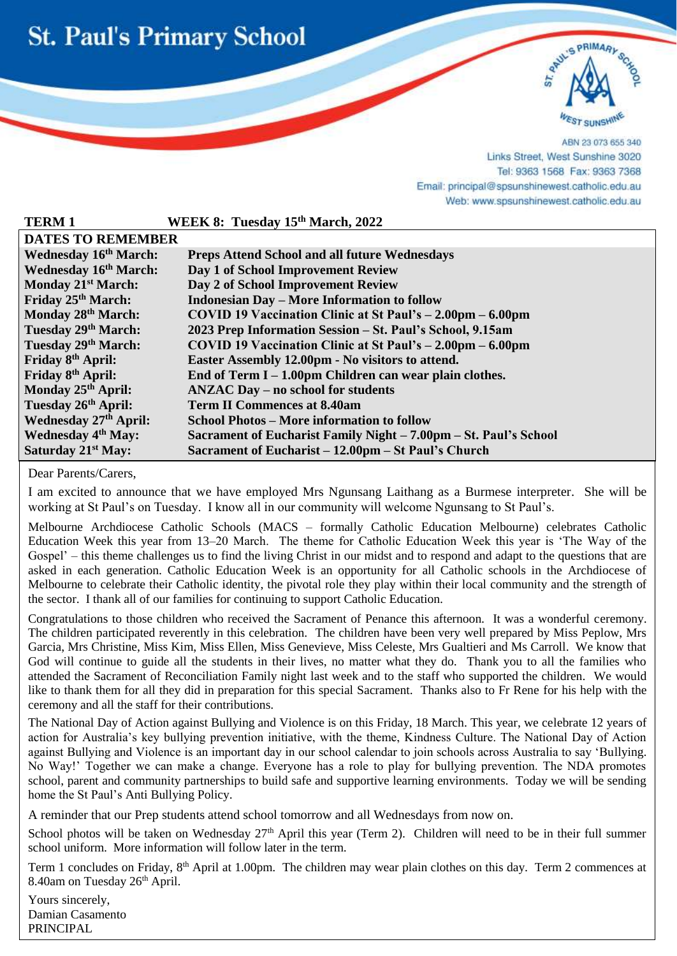



ABN 23 073 655 340 Links Street, West Sunshine 3020 Tel: 9363 1568 Fax: 9363 7368 Email: principal@spsunshinewest.catholic.edu.au Web: www.spsunshinewest.catholic.edu.au

| <b>TERM1</b>                   | WEEK 8: Tuesday 15th March, 2022                                             |
|--------------------------------|------------------------------------------------------------------------------|
| <b>DATES TO REMEMBER</b>       |                                                                              |
| <b>Wednesday 16th March:</b>   | <b>Preps Attend School and all future Wednesdays</b>                         |
| <b>Wednesday 16th March:</b>   | Day 1 of School Improvement Review                                           |
| Monday 21 <sup>st</sup> March: | Day 2 of School Improvement Review                                           |
| Friday 25 <sup>th</sup> March: | <b>Indonesian Day - More Information to follow</b>                           |
| Monday 28 <sup>th</sup> March: | COVID 19 Vaccination Clinic at St Paul's $- 2.00 \text{pm} - 6.00 \text{pm}$ |
| Tuesday 29th March:            | 2023 Prep Information Session - St. Paul's School, 9.15am                    |
| Tuesday 29th March:            | COVID 19 Vaccination Clinic at St Paul's $- 2.00 \text{pm} - 6.00 \text{pm}$ |
| Friday 8 <sup>th</sup> April:  | Easter Assembly 12.00pm - No visitors to attend.                             |
| Friday 8 <sup>th</sup> April:  | End of Term $I - 1.00$ pm Children can wear plain clothes.                   |
| Monday 25 <sup>th</sup> April: | <b>ANZAC Day – no school for students</b>                                    |
| Tuesday 26th April:            | <b>Term II Commences at 8.40am</b>                                           |
| <b>Wednesday 27th April:</b>   | <b>School Photos – More information to follow</b>                            |
| <b>Wednesday 4th May:</b>      | Sacrament of Eucharist Family Night - 7.00pm - St. Paul's School             |
| Saturday 21 <sup>st</sup> May: | Sacrament of Eucharist – 12.00pm – St Paul's Church                          |

Dear Parents/Carers,

l

I am excited to announce that we have employed Mrs Ngunsang Laithang as a Burmese interpreter. She will be working at St Paul's on Tuesday. I know all in our community will welcome Ngunsang to St Paul's.

Melbourne Archdiocese Catholic Schools (MACS – formally Catholic Education Melbourne) celebrates Catholic Education Week this year from 13–20 March. The theme for Catholic Education Week this year is 'The Way of the Gospel' – this theme challenges us to find the living Christ in our midst and to respond and adapt to the questions that are asked in each generation. Catholic Education Week is an opportunity for all Catholic schools in the Archdiocese of Melbourne to celebrate their Catholic identity, the pivotal role they play within their local community and the strength of the sector. I thank all of our families for continuing to support Catholic Education.

Congratulations to those children who received the Sacrament of Penance this afternoon. It was a wonderful ceremony. The children participated reverently in this celebration. The children have been very well prepared by Miss Peplow, Mrs Garcia, Mrs Christine, Miss Kim, Miss Ellen, Miss Genevieve, Miss Celeste, Mrs Gualtieri and Ms Carroll. We know that God will continue to guide all the students in their lives, no matter what they do. Thank you to all the families who attended the Sacrament of Reconciliation Family night last week and to the staff who supported the children. We would like to thank them for all they did in preparation for this special Sacrament. Thanks also to Fr Rene for his help with the ceremony and all the staff for their contributions.

The National Day of Action against Bullying and Violence is on this Friday, 18 March. This year, we celebrate 12 years of action for Australia's key bullying prevention initiative, with the theme, Kindness Culture. The National Day of Action against Bullying and Violence is an important day in our school calendar to join schools across Australia to say 'Bullying. No Way!' Together we can make a change. Everyone has a role to play for bullying prevention. The NDA promotes school, parent and community partnerships to build safe and supportive learning environments. Today we will be sending home the St Paul's Anti Bullying Policy.

A reminder that our Prep students attend school tomorrow and all Wednesdays from now on.

School photos will be taken on Wednesday  $27<sup>th</sup>$  April this year (Term 2). Children will need to be in their full summer school uniform. More information will follow later in the term.

Term 1 concludes on Friday, 8<sup>th</sup> April at 1.00pm. The children may wear plain clothes on this day. Term 2 commences at 8.40am on Tuesday 26<sup>th</sup> April.

Yours sincerely, Damian Casamento PRINCIPAL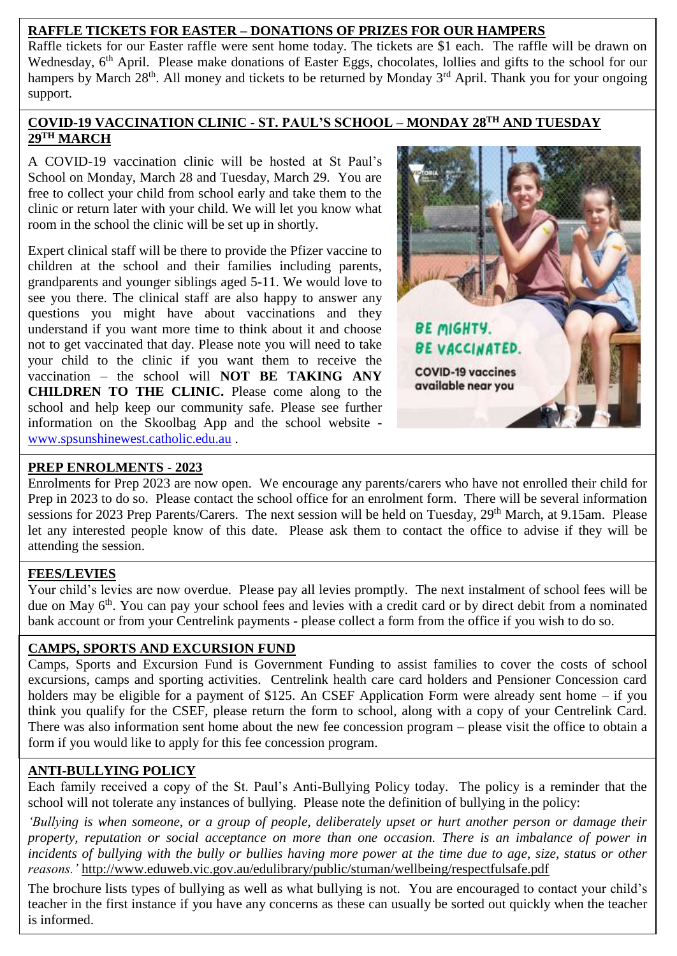## **RAFFLE TICKETS FOR EASTER – DONATIONS OF PRIZES FOR OUR HAMPERS**

Raffle tickets for our Easter raffle were sent home today. The tickets are \$1 each. The raffle will be drawn on Wednesday, 6<sup>th</sup> April. Please make donations of Easter Eggs, chocolates, lollies and gifts to the school for our hampers by March 28<sup>th</sup>. All money and tickets to be returned by Monday 3<sup>rd</sup> April. Thank you for your ongoing support.

#### **COVID-19 VACCINATION CLINIC - ST. PAUL'S SCHOOL – MONDAY 28TH AND TUESDAY 29TH MARCH**

A COVID-19 vaccination clinic will be hosted at St Paul's School on Monday, March 28 and Tuesday, March 29. You are free to collect your child from school early and take them to the clinic or return later with your child. We will let you know what room in the school the clinic will be set up in shortly.

Expert clinical staff will be there to provide the Pfizer vaccine to children at the school and their families including parents, grandparents and younger siblings aged 5-11. We would love to see you there. The clinical staff are also happy to answer any questions you might have about vaccinations and they understand if you want more time to think about it and choose not to get vaccinated that day. Please note you will need to take your child to the clinic if you want them to receive the vaccination – the school will **NOT BE TAKING ANY CHILDREN TO THE CLINIC.** Please come along to the school and help keep our community safe. Please see further information on the Skoolbag App and the school website [www.spsunshinewest.catholic.edu.au](http://www.spsunshinewest.catholic.edu.au/) .



# **PREP ENROLMENTS - 2023**

Enrolments for Prep 2023 are now open. We encourage any parents/carers who have not enrolled their child for Prep in 2023 to do so. Please contact the school office for an enrolment form. There will be several information sessions for 2023 Prep Parents/Carers. The next session will be held on Tuesday, 29<sup>th</sup> March, at 9.15am. Please let any interested people know of this date. Please ask them to contact the office to advise if they will be attending the session.

### **FEES/LEVIES**

 Your child's levies are now overdue. Please pay all levies promptly. The next instalment of school fees will be due on May 6<sup>th</sup>. You can pay your school fees and levies with a credit card or by direct debit from a nominated bank account or from your Centrelink payments - please collect a form from the office if you wish to do so.

### **CAMPS, SPORTS AND EXCURSION FUND**

Camps, Sports and Excursion Fund is Government Funding to assist families to cover the costs of school excursions, camps and sporting activities. Centrelink health care card holders and Pensioner Concession card holders may be eligible for a payment of \$125. An CSEF Application Form were already sent home – if you think you qualify for the CSEF, please return the form to school, along with a copy of your Centrelink Card. There was also information sent home about the new fee concession program – please visit the office to obtain a form if you would like to apply for this fee concession program.

# **ANTI-BULLYING POLICY**

Each family received a copy of the St. Paul's Anti-Bullying Policy today. The policy is a reminder that the school will not tolerate any instances of bullying. Please note the definition of bullying in the policy:

*'Bullying is when someone, or a group of people, deliberately upset or hurt another person or damage their property, reputation or social acceptance on more than one occasion. There is an imbalance of power in incidents of bullying with the bully or bullies having more power at the time due to age, size, status or other reasons.'* <http://www.eduweb.vic.gov.au/edulibrary/public/stuman/wellbeing/respectfulsafe.pdf>

The brochure lists types of bullying as well as what bullying is not. You are encouraged to contact your child's teacher in the first instance if you have any concerns as these can usually be sorted out quickly when the teacher is informed.